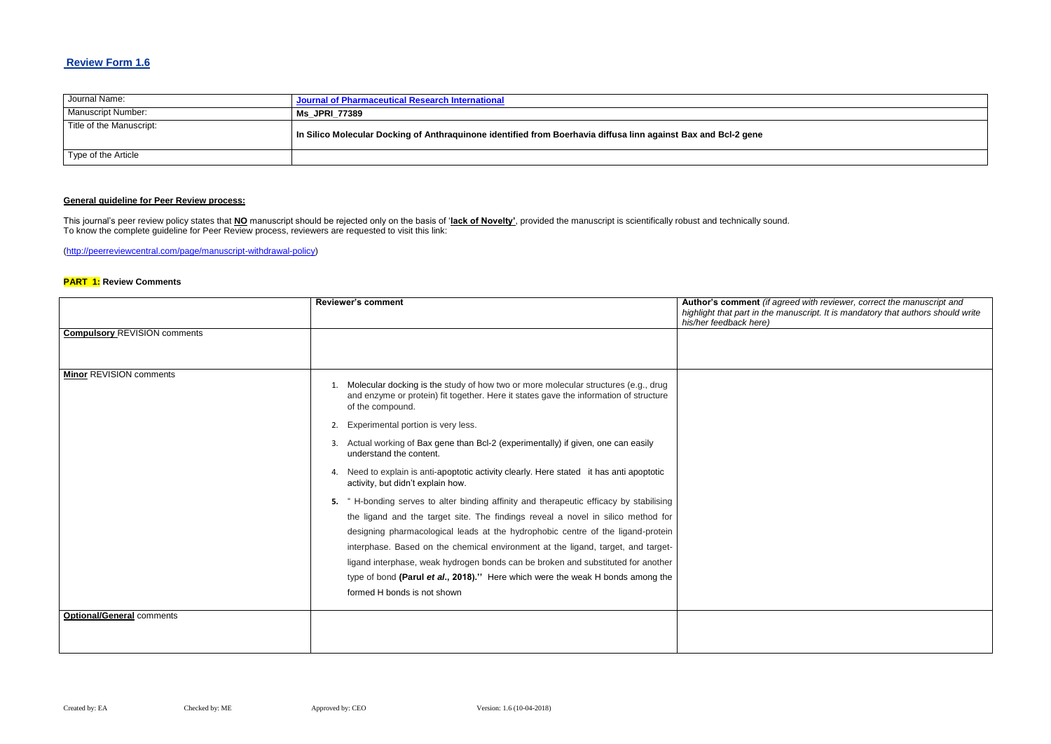# **Review Form 1.6**

| Journal Name:            | Journal of Pharmaceutical Research International                                                               |
|--------------------------|----------------------------------------------------------------------------------------------------------------|
| Manuscript Number:       | <b>Ms JPRI 77389</b>                                                                                           |
| Title of the Manuscript: | In Silico Molecular Docking of Anthraquinone identified from Boerhavia diffusa linn against Bax and Bcl-2 gene |
| Type of the Article      |                                                                                                                |

# **General guideline for Peer Review process:**

#### $B$ ed with reviewer, correct the manuscript and *highlight that part in the manuscript. It is mandatory that authors should write*

This journal's peer review policy states that **NO** manuscript should be rejected only on the basis of '**lack of Novelty'**, provided the manuscript is scientifically robust and technically sound. To know the complete guideline for Peer Review process, reviewers are requested to visit this link:

[\(http://peerreviewcentral.com/page/manuscript-withdrawal-policy\)](http://peerreviewcentral.com/page/manuscript-withdrawal-policy)

### **PART 1: Review Comments**

|                                     | <b>Reviewer's comment</b>                                                                                                                                                                                                                                                                                                                                                                                                                                                                                                                            | Author's comment (if agre<br>highlight that part in the ma.<br>his/her feedback here) |
|-------------------------------------|------------------------------------------------------------------------------------------------------------------------------------------------------------------------------------------------------------------------------------------------------------------------------------------------------------------------------------------------------------------------------------------------------------------------------------------------------------------------------------------------------------------------------------------------------|---------------------------------------------------------------------------------------|
| <b>Compulsory REVISION comments</b> |                                                                                                                                                                                                                                                                                                                                                                                                                                                                                                                                                      |                                                                                       |
| <b>Minor REVISION comments</b>      | Molecular docking is the study of how two or more molecular structures (e.g., drug<br>1.<br>and enzyme or protein) fit together. Here it states gave the information of structure<br>of the compound.<br>Experimental portion is very less.<br>2.                                                                                                                                                                                                                                                                                                    |                                                                                       |
|                                     | Actual working of Bax gene than Bcl-2 (experimentally) if given, one can easily<br>understand the content.                                                                                                                                                                                                                                                                                                                                                                                                                                           |                                                                                       |
|                                     | Need to explain is anti-apoptotic activity clearly. Here stated it has anti apoptotic<br>4.<br>activity, but didn't explain how.                                                                                                                                                                                                                                                                                                                                                                                                                     |                                                                                       |
|                                     | " H-bonding serves to alter binding affinity and therapeutic efficacy by stabilising<br>the ligand and the target site. The findings reveal a novel in silico method for<br>designing pharmacological leads at the hydrophobic centre of the ligand-protein<br>interphase. Based on the chemical environment at the ligand, target, and target-<br>ligand interphase, weak hydrogen bonds can be broken and substituted for another<br>type of bond (Parul et al., 2018)." Here which were the weak H bonds among the<br>formed H bonds is not shown |                                                                                       |
| <b>Optional/General comments</b>    |                                                                                                                                                                                                                                                                                                                                                                                                                                                                                                                                                      |                                                                                       |